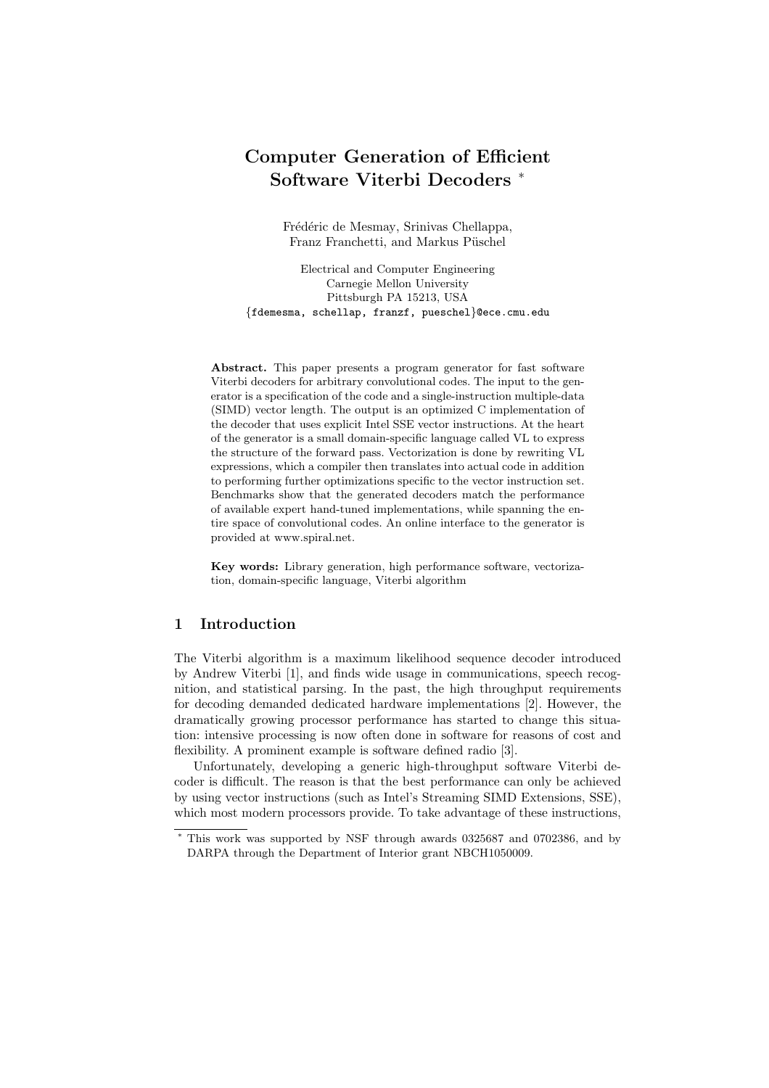# Computer Generation of Efficient Software Viterbi Decoders <sup>∗</sup>

Frédéric de Mesmay, Srinivas Chellappa, Franz Franchetti, and Markus Püschel

Electrical and Computer Engineering Carnegie Mellon University Pittsburgh PA 15213, USA {fdemesma, schellap, franzf, pueschel}@ece.cmu.edu

Abstract. This paper presents a program generator for fast software Viterbi decoders for arbitrary convolutional codes. The input to the generator is a specification of the code and a single-instruction multiple-data (SIMD) vector length. The output is an optimized C implementation of the decoder that uses explicit Intel SSE vector instructions. At the heart of the generator is a small domain-specific language called VL to express the structure of the forward pass. Vectorization is done by rewriting VL expressions, which a compiler then translates into actual code in addition to performing further optimizations specific to the vector instruction set. Benchmarks show that the generated decoders match the performance of available expert hand-tuned implementations, while spanning the entire space of convolutional codes. An online interface to the generator is provided at www.spiral.net.

Key words: Library generation, high performance software, vectorization, domain-specific language, Viterbi algorithm

# 1 Introduction

The Viterbi algorithm is a maximum likelihood sequence decoder introduced by Andrew Viterbi [1], and finds wide usage in communications, speech recognition, and statistical parsing. In the past, the high throughput requirements for decoding demanded dedicated hardware implementations [2]. However, the dramatically growing processor performance has started to change this situation: intensive processing is now often done in software for reasons of cost and flexibility. A prominent example is software defined radio [3].

Unfortunately, developing a generic high-throughput software Viterbi decoder is difficult. The reason is that the best performance can only be achieved by using vector instructions (such as Intel's Streaming SIMD Extensions, SSE), which most modern processors provide. To take advantage of these instructions,

<sup>∗</sup> This work was supported by NSF through awards 0325687 and 0702386, and by DARPA through the Department of Interior grant NBCH1050009.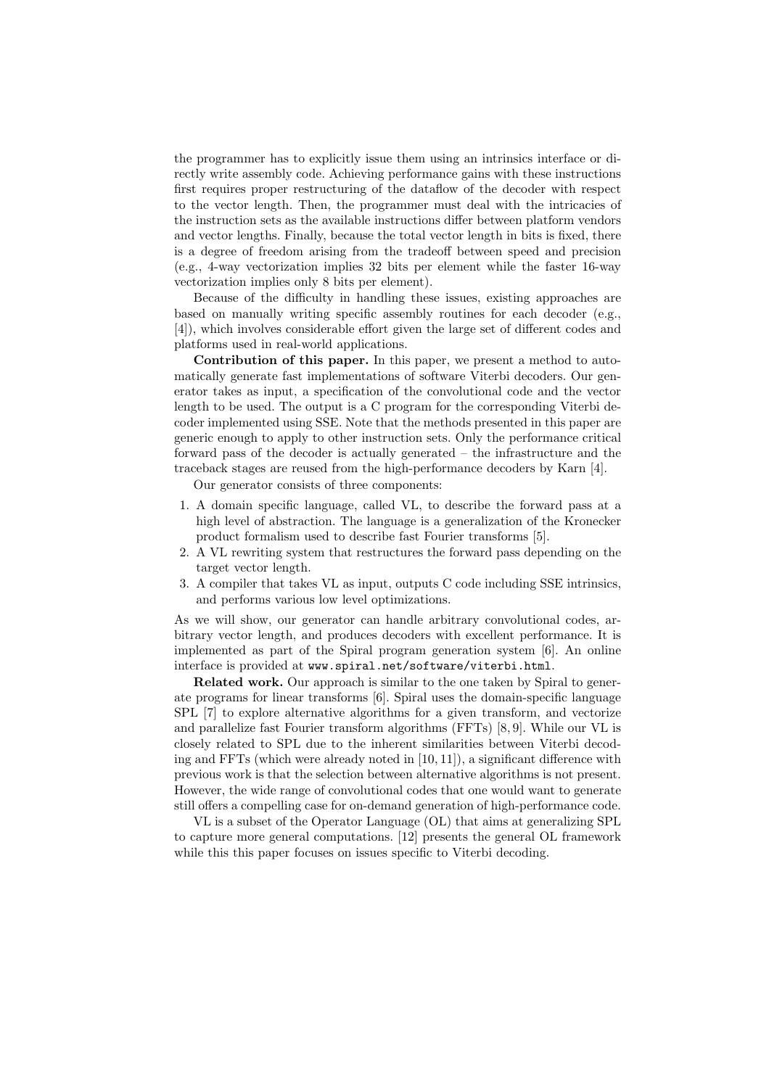the programmer has to explicitly issue them using an intrinsics interface or directly write assembly code. Achieving performance gains with these instructions first requires proper restructuring of the dataflow of the decoder with respect to the vector length. Then, the programmer must deal with the intricacies of the instruction sets as the available instructions differ between platform vendors and vector lengths. Finally, because the total vector length in bits is fixed, there is a degree of freedom arising from the tradeoff between speed and precision (e.g., 4-way vectorization implies 32 bits per element while the faster 16-way vectorization implies only 8 bits per element).

Because of the difficulty in handling these issues, existing approaches are based on manually writing specific assembly routines for each decoder (e.g., [4]), which involves considerable effort given the large set of different codes and platforms used in real-world applications.

Contribution of this paper. In this paper, we present a method to automatically generate fast implementations of software Viterbi decoders. Our generator takes as input, a specification of the convolutional code and the vector length to be used. The output is a C program for the corresponding Viterbi decoder implemented using SSE. Note that the methods presented in this paper are generic enough to apply to other instruction sets. Only the performance critical forward pass of the decoder is actually generated – the infrastructure and the traceback stages are reused from the high-performance decoders by Karn [4].

Our generator consists of three components:

- 1. A domain specific language, called VL, to describe the forward pass at a high level of abstraction. The language is a generalization of the Kronecker product formalism used to describe fast Fourier transforms [5].
- 2. A VL rewriting system that restructures the forward pass depending on the target vector length.
- 3. A compiler that takes VL as input, outputs C code including SSE intrinsics, and performs various low level optimizations.

As we will show, our generator can handle arbitrary convolutional codes, arbitrary vector length, and produces decoders with excellent performance. It is implemented as part of the Spiral program generation system [6]. An online interface is provided at www.spiral.net/software/viterbi.html.

Related work. Our approach is similar to the one taken by Spiral to generate programs for linear transforms [6]. Spiral uses the domain-specific language SPL [7] to explore alternative algorithms for a given transform, and vectorize and parallelize fast Fourier transform algorithms (FFTs) [8, 9]. While our VL is closely related to SPL due to the inherent similarities between Viterbi decoding and FFTs (which were already noted in [10, 11]), a significant difference with previous work is that the selection between alternative algorithms is not present. However, the wide range of convolutional codes that one would want to generate still offers a compelling case for on-demand generation of high-performance code.

VL is a subset of the Operator Language (OL) that aims at generalizing SPL to capture more general computations. [12] presents the general OL framework while this this paper focuses on issues specific to Viterbi decoding.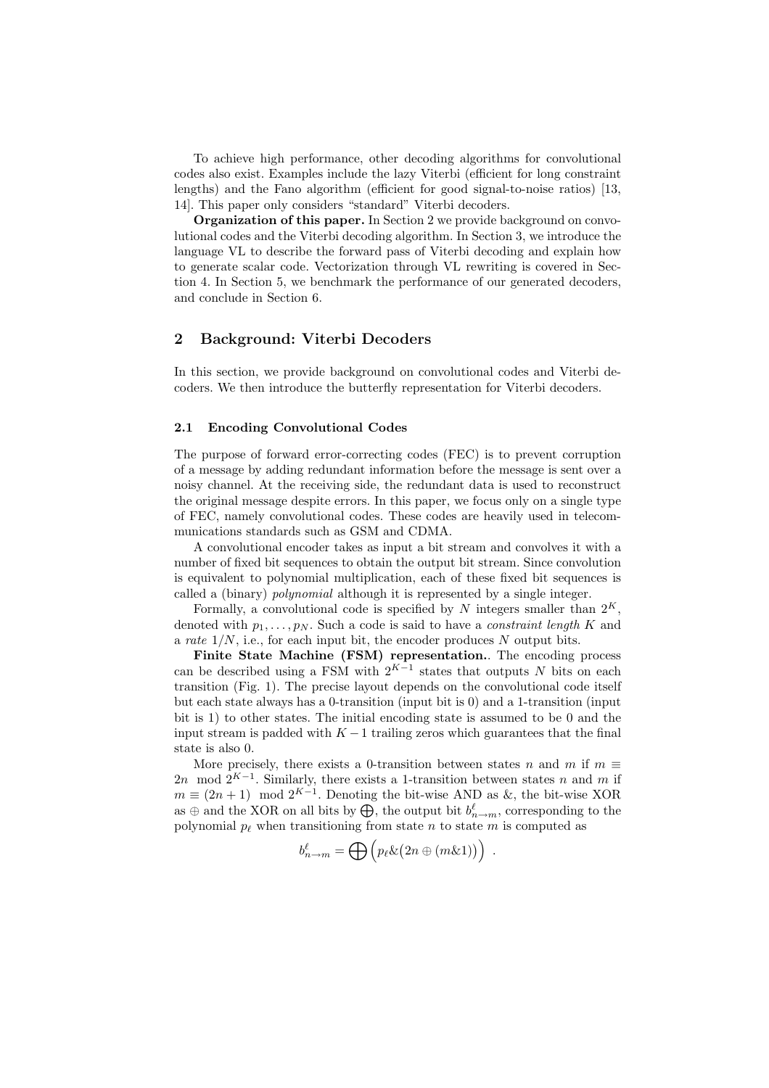To achieve high performance, other decoding algorithms for convolutional codes also exist. Examples include the lazy Viterbi (efficient for long constraint lengths) and the Fano algorithm (efficient for good signal-to-noise ratios) [13, 14]. This paper only considers "standard" Viterbi decoders.

Organization of this paper. In Section 2 we provide background on convolutional codes and the Viterbi decoding algorithm. In Section 3, we introduce the language VL to describe the forward pass of Viterbi decoding and explain how to generate scalar code. Vectorization through VL rewriting is covered in Section 4. In Section 5, we benchmark the performance of our generated decoders, and conclude in Section 6.

## 2 Background: Viterbi Decoders

In this section, we provide background on convolutional codes and Viterbi decoders. We then introduce the butterfly representation for Viterbi decoders.

#### 2.1 Encoding Convolutional Codes

The purpose of forward error-correcting codes (FEC) is to prevent corruption of a message by adding redundant information before the message is sent over a noisy channel. At the receiving side, the redundant data is used to reconstruct the original message despite errors. In this paper, we focus only on a single type of FEC, namely convolutional codes. These codes are heavily used in telecommunications standards such as GSM and CDMA.

A convolutional encoder takes as input a bit stream and convolves it with a number of fixed bit sequences to obtain the output bit stream. Since convolution is equivalent to polynomial multiplication, each of these fixed bit sequences is called a (binary) polynomial although it is represented by a single integer.

Formally, a convolutional code is specified by  $N$  integers smaller than  $2^K$ . denoted with  $p_1, \ldots, p_N$ . Such a code is said to have a *constraint length* K and a rate  $1/N$ , i.e., for each input bit, the encoder produces N output bits.

Finite State Machine (FSM) representation.. The encoding process can be described using a FSM with  $2^{K-1}$  states that outputs N bits on each transition (Fig. 1). The precise layout depends on the convolutional code itself but each state always has a 0-transition (input bit is 0) and a 1-transition (input bit is 1) to other states. The initial encoding state is assumed to be 0 and the input stream is padded with  $K - 1$  trailing zeros which guarantees that the final state is also 0.

More precisely, there exists a 0-transition between states n and m if  $m \equiv$ 2n mod  $2^{K-1}$ . Similarly, there exists a 1-transition between states n and m if  $m \equiv (2n+1) \mod 2^{K-1}$ . Denoting the bit-wise AND as &, the bit-wise XOR as  $\oplus$  and the XOR on all bits by  $\bigoplus$ , the output bit  $b_{n-m}^{\ell}$ , corresponding to the polynomial  $p_\ell$  when transitioning from state n to state m is computed as

$$
b_{n\to m}^{\ell} = \bigoplus \Big( p_{\ell} \& (2n \oplus (m \& 1)) \Big) .
$$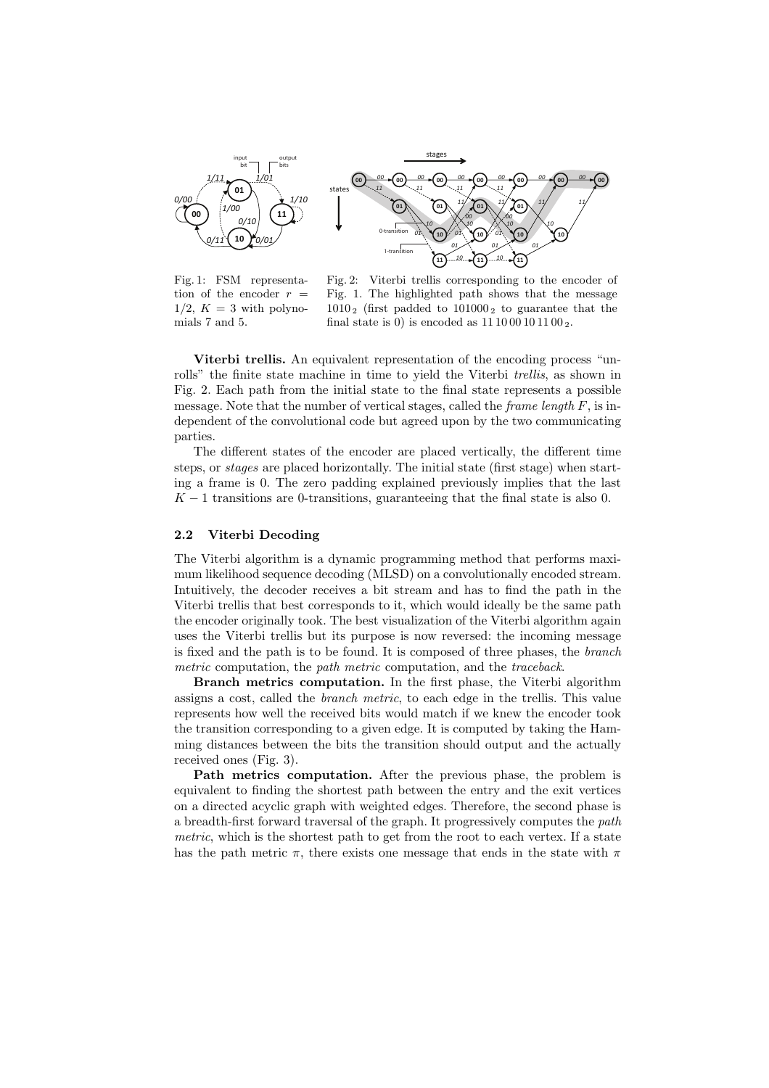



Fig. 1: FSM representation of the encoder  $r =$  $1/2$ ,  $K = 3$  with polynomials 7 and 5.

Fig. 2: Viterbi trellis corresponding to the encoder of Fig. 1. The highlighted path shows that the message  $1010<sub>2</sub>$  (first padded to  $101000<sub>2</sub>$  to guarantee that the final state is 0) is encoded as  $11 10 00 10 11 00_2$ .

Viterbi trellis. An equivalent representation of the encoding process "unrolls" the finite state machine in time to yield the Viterbi trellis, as shown in Fig. 2. Each path from the initial state to the final state represents a possible message. Note that the number of vertical stages, called the *frame length*  $F$ , is independent of the convolutional code but agreed upon by the two communicating parties.

The different states of the encoder are placed vertically, the different time steps, or stages are placed horizontally. The initial state (first stage) when starting a frame is 0. The zero padding explained previously implies that the last  $K-1$  transitions are 0-transitions, guaranteeing that the final state is also 0.

## 2.2 Viterbi Decoding

The Viterbi algorithm is a dynamic programming method that performs maximum likelihood sequence decoding (MLSD) on a convolutionally encoded stream. Intuitively, the decoder receives a bit stream and has to find the path in the Viterbi trellis that best corresponds to it, which would ideally be the same path the encoder originally took. The best visualization of the Viterbi algorithm again uses the Viterbi trellis but its purpose is now reversed: the incoming message is fixed and the path is to be found. It is composed of three phases, the branch metric computation, the *path metric* computation, and the *traceback*.

Branch metrics computation. In the first phase, the Viterbi algorithm assigns a cost, called the branch metric, to each edge in the trellis. This value represents how well the received bits would match if we knew the encoder took the transition corresponding to a given edge. It is computed by taking the Hamming distances between the bits the transition should output and the actually received ones (Fig. 3).

Path metrics computation. After the previous phase, the problem is equivalent to finding the shortest path between the entry and the exit vertices on a directed acyclic graph with weighted edges. Therefore, the second phase is a breadth-first forward traversal of the graph. It progressively computes the path metric, which is the shortest path to get from the root to each vertex. If a state has the path metric  $\pi$ , there exists one message that ends in the state with  $\pi$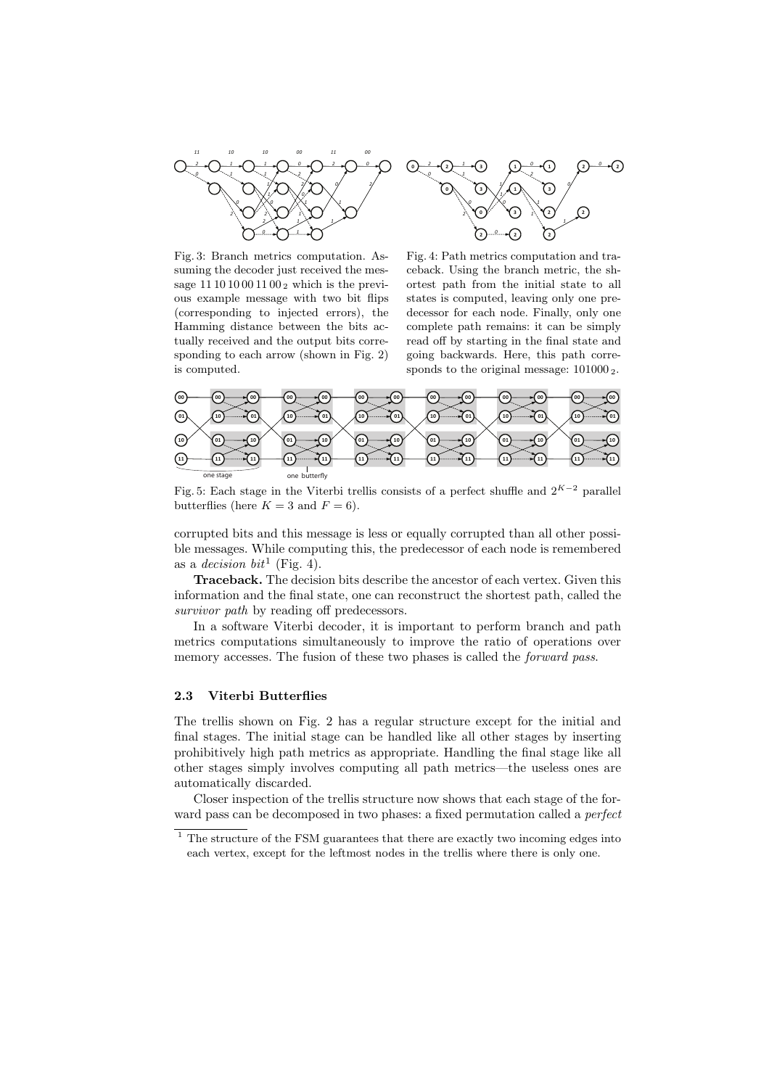



Fig. 3: Branch metrics computation. Assuming the decoder just received the message 11 10 10 00 11 00 <sup>2</sup> which is the previous example message with two bit flips (corresponding to injected errors), the Hamming distance between the bits actually received and the output bits corresponding to each arrow (shown in Fig. 2) is computed.

Fig. 4: Path metrics computation and traceback. Using the branch metric, the shortest path from the initial state to all states is computed, leaving only one predecessor for each node. Finally, only one complete path remains: it can be simply read off by starting in the final state and going backwards. Here, this path corresponds to the original message:  $101000<sub>2</sub>$ .



Fig. 5: Each stage in the Viterbi trellis consists of a perfect shuffle and  $2^{K-2}$  parallel butterflies (here  $K = 3$  and  $F = 6$ ).

corrupted bits and this message is less or equally corrupted than all other possible messages. While computing this, the predecessor of each node is remembered as a *decision bit*<sup>1</sup> (Fig. 4).

Traceback. The decision bits describe the ancestor of each vertex. Given this information and the final state, one can reconstruct the shortest path, called the survivor path by reading off predecessors.

In a software Viterbi decoder, it is important to perform branch and path metrics computations simultaneously to improve the ratio of operations over memory accesses. The fusion of these two phases is called the *forward pass*.

#### 2.3 Viterbi Butterflies

The trellis shown on Fig. 2 has a regular structure except for the initial and final stages. The initial stage can be handled like all other stages by inserting prohibitively high path metrics as appropriate. Handling the final stage like all other stages simply involves computing all path metrics—the useless ones are automatically discarded.

Closer inspection of the trellis structure now shows that each stage of the forward pass can be decomposed in two phases: a fixed permutation called a perfect

<sup>&</sup>lt;sup>1</sup> The structure of the FSM guarantees that there are exactly two incoming edges into each vertex, except for the leftmost nodes in the trellis where there is only one.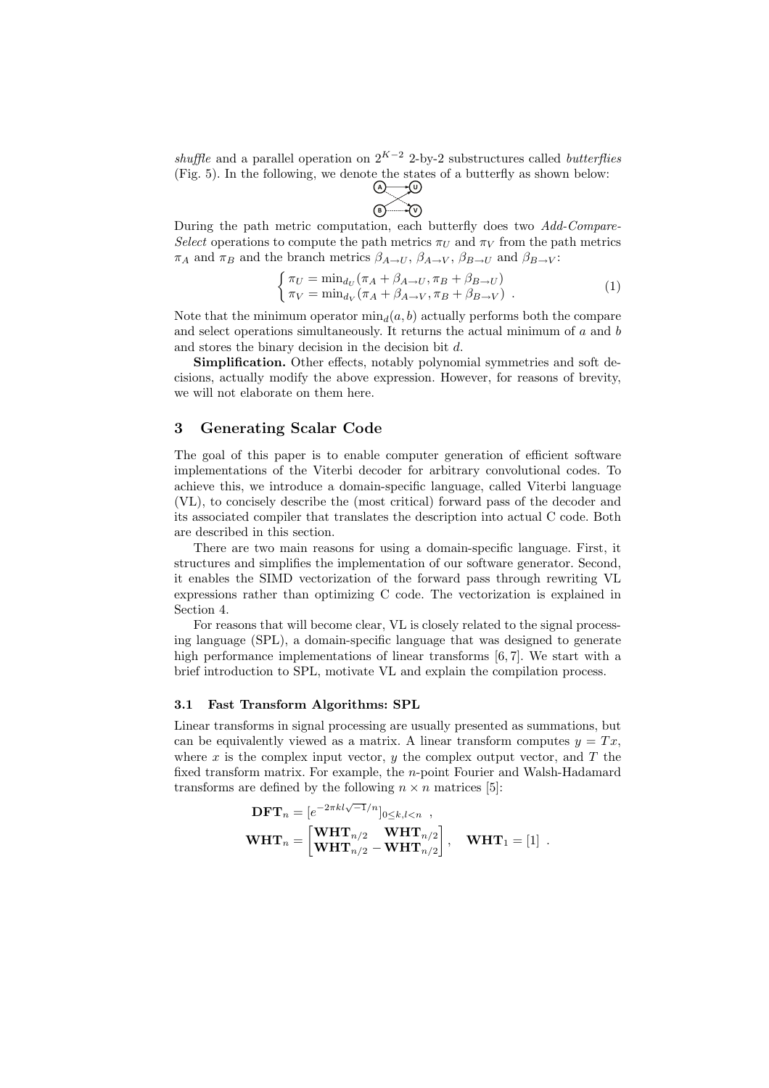shuffle and a parallel operation on  $2^{K-2}$  2-by-2 substructures called *butterflies* (Fig. 5). In the following, we denote the states of a butterfly as shown below:



During the path metric computation, each butterfly does two Add-Compare-Select operations to compute the path metrics  $\pi_U$  and  $\pi_V$  from the path metrics  $\pi_A$  and  $\pi_B$  and the branch metrics  $\beta_{A\to U}$ ,  $\beta_{A\to V}$ ,  $\beta_{B\to U}$  and  $\beta_{B\to V}$ :

$$
\begin{cases}\n\pi_U = \min_{d_U} (\pi_A + \beta_{A \to U}, \pi_B + \beta_{B \to U}) \\
\pi_V = \min_{d_V} (\pi_A + \beta_{A \to V}, \pi_B + \beta_{B \to V})\n\end{cases} (1)
$$

Note that the minimum operator  $\min_d(a, b)$  actually performs both the compare and select operations simultaneously. It returns the actual minimum of  $a$  and  $b$ and stores the binary decision in the decision bit d.

Simplification. Other effects, notably polynomial symmetries and soft decisions, actually modify the above expression. However, for reasons of brevity, we will not elaborate on them here.

## 3 Generating Scalar Code

The goal of this paper is to enable computer generation of efficient software implementations of the Viterbi decoder for arbitrary convolutional codes. To achieve this, we introduce a domain-specific language, called Viterbi language (VL), to concisely describe the (most critical) forward pass of the decoder and its associated compiler that translates the description into actual C code. Both are described in this section.

There are two main reasons for using a domain-specific language. First, it structures and simplifies the implementation of our software generator. Second, it enables the SIMD vectorization of the forward pass through rewriting VL expressions rather than optimizing C code. The vectorization is explained in Section 4.

For reasons that will become clear, VL is closely related to the signal processing language (SPL), a domain-specific language that was designed to generate high performance implementations of linear transforms [6, 7]. We start with a brief introduction to SPL, motivate VL and explain the compilation process.

#### 3.1 Fast Transform Algorithms: SPL

Linear transforms in signal processing are usually presented as summations, but can be equivalently viewed as a matrix. A linear transform computes  $y = Tx$ , where x is the complex input vector, y the complex output vector, and  $T$  the fixed transform matrix. For example, the n-point Fourier and Walsh-Hadamard transforms are defined by the following  $n \times n$  matrices [5]:

$$
\begin{aligned}\n\mathbf{DFT}_n &= \left[e^{-2\pi kl\sqrt{-1}/n}\right]_{0\leq k,l
$$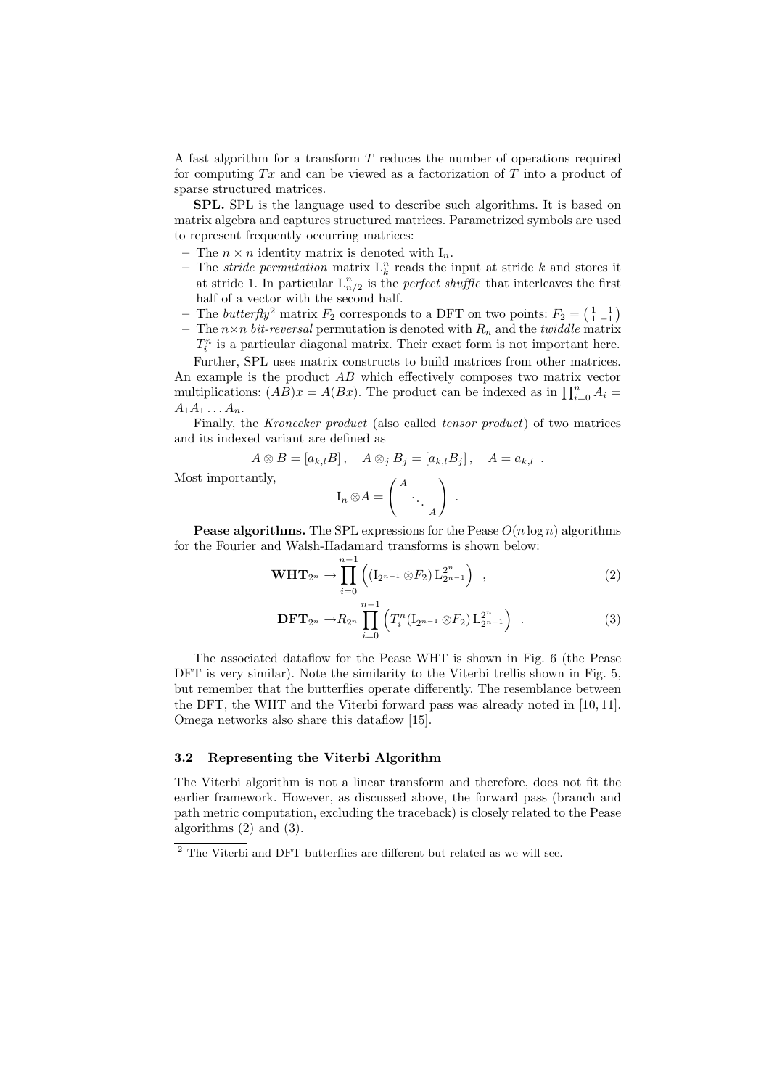A fast algorithm for a transform T reduces the number of operations required for computing  $Tx$  and can be viewed as a factorization of T into a product of sparse structured matrices.

SPL. SPL is the language used to describe such algorithms. It is based on matrix algebra and captures structured matrices. Parametrized symbols are used to represent frequently occurring matrices:

- The  $n \times n$  identity matrix is denoted with  $I_n$ .
- The *stride permutation* matrix  $L_k^n$  reads the input at stride k and stores it at stride 1. In particular  $L_{n/2}^n$  is the *perfect shuffle* that interleaves the first half of a vector with the second half.
- The *butterfly*<sup>2</sup> matrix  $F_2$  corresponds to a DFT on two points:  $F_2 = \begin{pmatrix} 1 & 1 \\ 1 & -1 \end{pmatrix}$
- The  $n \times n$  bit-reversal permutation is denoted with  $R_n$  and the twiddle matrix  $T_i^n$  is a particular diagonal matrix. Their exact form is not important here.

Further, SPL uses matrix constructs to build matrices from other matrices. An example is the product AB which effectively composes two matrix vector multiplications:  $(AB)x = A(Bx)$ . The product can be indexed as in  $\prod_{i=0}^{n} A_i =$  $A_1A_1\ldots A_n$ .

Finally, the Kronecker product (also called tensor product) of two matrices and its indexed variant are defined as

$$
A \otimes B = [a_{k,l}B], \quad A \otimes_j B_j = [a_{k,l}B_j], \quad A = a_{k,l}.
$$

Most importantly,

$$
\mathrm{I}_n \otimes A = \left( \begin{array}{c} A \\ & \ddots \\ & & A \end{array} \right) .
$$

**Pease algorithms.** The SPL expressions for the Pease  $O(n \log n)$  algorithms for the Fourier and Walsh-Hadamard transforms is shown below:

$$
\mathbf{WHT}_{2^n} \to \prod_{i=0}^{n-1} \left( (\mathbf{I}_{2^{n-1}} \otimes F_2) \mathbf{L}_{2^{n-1}}^{2^n} \right) , \qquad (2)
$$

$$
\mathbf{DFT}_{2^n} \to R_{2^n} \prod_{i=0}^{n-1} \left( T_i^n(I_{2^{n-1}} \otimes F_2) L_{2^{n-1}}^{2^n} \right) . \tag{3}
$$

The associated dataflow for the Pease WHT is shown in Fig. 6 (the Pease DFT is very similar). Note the similarity to the Viterbi trellis shown in Fig. 5, but remember that the butterflies operate differently. The resemblance between the DFT, the WHT and the Viterbi forward pass was already noted in [10, 11]. Omega networks also share this dataflow [15].

#### 3.2 Representing the Viterbi Algorithm

The Viterbi algorithm is not a linear transform and therefore, does not fit the earlier framework. However, as discussed above, the forward pass (branch and path metric computation, excluding the traceback) is closely related to the Pease algorithms (2) and (3).

<sup>&</sup>lt;sup>2</sup> The Viterbi and DFT butterflies are different but related as we will see.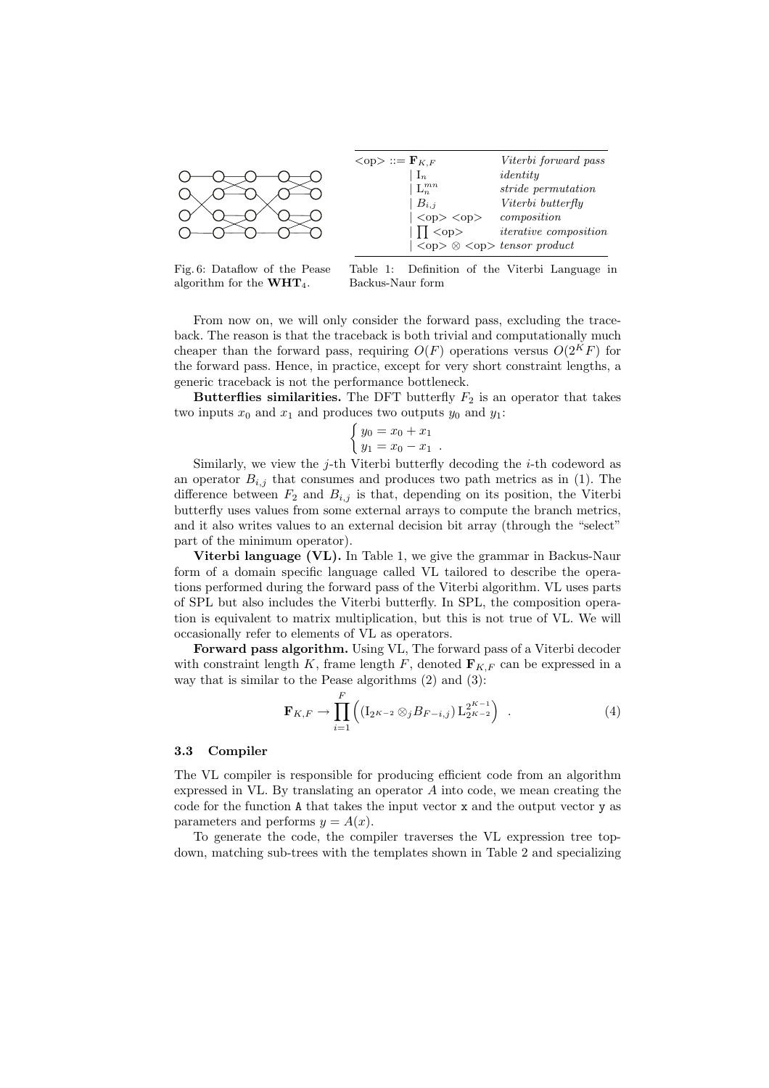

| $<$ op $> ::=$ $\mathbf{F}_{K,F}$                                          | Viterbi forward pass         |
|----------------------------------------------------------------------------|------------------------------|
| $I_n$                                                                      | identity                     |
| $\mathcal{L}_n^{mn}$                                                       | <i>stride</i> permutation    |
| $B_{i,i}$                                                                  | Viterbi butterfly            |
| $<$ op> $<$ op>                                                            | composition                  |
| $\vert \prod \text{$                                                       | <i>iterative composition</i> |
| $ $ $\langle$ op $\rangle$ $\otimes$ $\langle$ op $\rangle$ tensor product |                              |

Fig. 6: Dataflow of the Pease algorithm for the  $WHT<sub>4</sub>$ .

Table 1: Definition of the Viterbi Language in Backus-Naur form

From now on, we will only consider the forward pass, excluding the traceback. The reason is that the traceback is both trivial and computationally much cheaper than the forward pass, requiring  $O(F)$  operations versus  $O(2<sup>K</sup>F)$  for the forward pass. Hence, in practice, except for very short constraint lengths, a generic traceback is not the performance bottleneck.

Butterflies similarities. The DFT butterfly  $F_2$  is an operator that takes two inputs  $x_0$  and  $x_1$  and produces two outputs  $y_0$  and  $y_1$ :

$$
\begin{cases}\ny_0 = x_0 + x_1 \\
y_1 = x_0 - x_1\n\end{cases}.
$$

Similarly, we view the  $j$ -th Viterbi butterfly decoding the  $i$ -th codeword as an operator  $B_{i,j}$  that consumes and produces two path metrics as in (1). The difference between  $F_2$  and  $B_{i,j}$  is that, depending on its position, the Viterbi butterfly uses values from some external arrays to compute the branch metrics, and it also writes values to an external decision bit array (through the "select" part of the minimum operator).

Viterbi language (VL). In Table 1, we give the grammar in Backus-Naur form of a domain specific language called VL tailored to describe the operations performed during the forward pass of the Viterbi algorithm. VL uses parts of SPL but also includes the Viterbi butterfly. In SPL, the composition operation is equivalent to matrix multiplication, but this is not true of VL. We will occasionally refer to elements of VL as operators.

Forward pass algorithm. Using VL, The forward pass of a Viterbi decoder with constraint length K, frame length F, denoted  $\mathbf{F}_{K,F}$  can be expressed in a way that is similar to the Pease algorithms (2) and (3):

$$
\mathbf{F}_{K,F} \to \prod_{i=1}^{F} \left( (\mathbf{I}_{2^{K-2}} \otimes_j B_{F-i,j}) \mathbf{L}_{2^{K-2}}^{2^{K-1}} \right) . \tag{4}
$$

#### 3.3 Compiler

The VL compiler is responsible for producing efficient code from an algorithm expressed in VL. By translating an operator  $A$  into code, we mean creating the code for the function A that takes the input vector x and the output vector y as parameters and performs  $y = A(x)$ .

To generate the code, the compiler traverses the VL expression tree topdown, matching sub-trees with the templates shown in Table 2 and specializing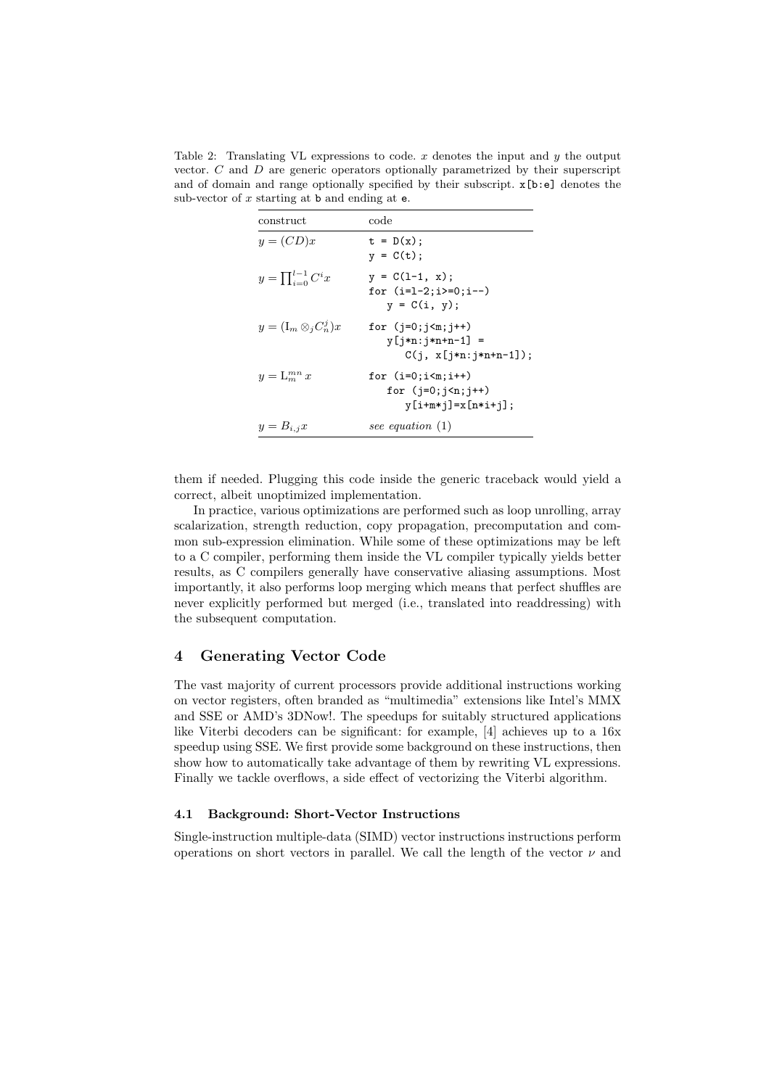Table 2: Translating VL expressions to code. x denotes the input and  $y$  the output vector.  $C$  and  $D$  are generic operators optionally parametrized by their superscript and of domain and range optionally specified by their subscript. x[b:e] denotes the sub-vector of  $x$  starting at  $\mathbf b$  and ending at  $\mathbf e$ .

| construct                     | code                                                                         |
|-------------------------------|------------------------------------------------------------------------------|
| $y = (CD)x$                   | $t = D(x)$ :<br>$y = C(t)$ ;                                                 |
| $y = \prod_{i=0}^{l-1} C^i x$ | $y = C(1-1, x);$<br>for $(i=1-2:i>=0:i--)$<br>$y = C(i, y);$                 |
| $y=(I_m\otimes_i C_n^j)x$     | for $(i=0; i\le m; i++)$<br>$y[i*n:i*n+n-1] =$<br>$C(i, x[i*n:i*n+n-1]);$    |
| $y = \mathcal{L}_m^{mn} x$    | for $(i=0;i\leq m;i++)$<br>for $(i=0; i \le n; i++)$<br>$y[i+m*1]=x[n*1+j];$ |
| $y = B_{i,i}x$                | see equation (1)                                                             |

them if needed. Plugging this code inside the generic traceback would yield a correct, albeit unoptimized implementation.

In practice, various optimizations are performed such as loop unrolling, array scalarization, strength reduction, copy propagation, precomputation and common sub-expression elimination. While some of these optimizations may be left to a C compiler, performing them inside the VL compiler typically yields better results, as C compilers generally have conservative aliasing assumptions. Most importantly, it also performs loop merging which means that perfect shuffles are never explicitly performed but merged (i.e., translated into readdressing) with the subsequent computation.

# 4 Generating Vector Code

The vast majority of current processors provide additional instructions working on vector registers, often branded as "multimedia" extensions like Intel's MMX and SSE or AMD's 3DNow!. The speedups for suitably structured applications like Viterbi decoders can be significant: for example, [4] achieves up to a 16x speedup using SSE. We first provide some background on these instructions, then show how to automatically take advantage of them by rewriting VL expressions. Finally we tackle overflows, a side effect of vectorizing the Viterbi algorithm.

#### 4.1 Background: Short-Vector Instructions

Single-instruction multiple-data (SIMD) vector instructions instructions perform operations on short vectors in parallel. We call the length of the vector  $\nu$  and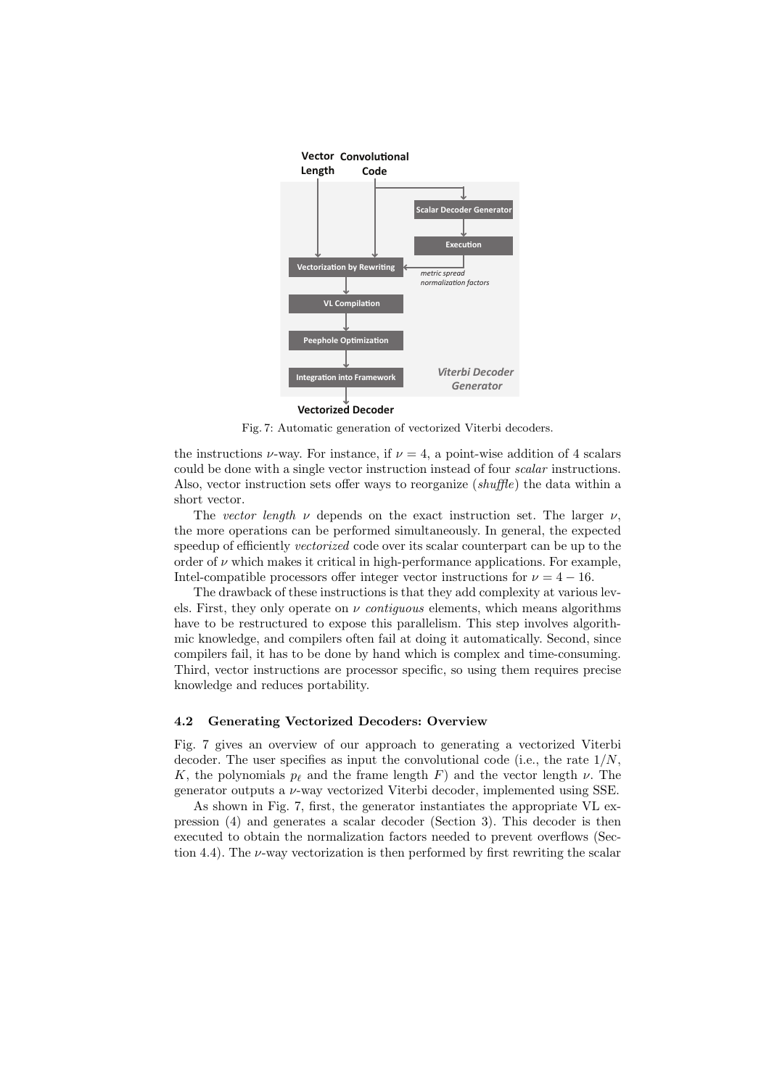

Fig. 7: Automatic generation of vectorized Viterbi decoders.

the instructions  $\nu$ -way. For instance, if  $\nu = 4$ , a point-wise addition of 4 scalars could be done with a single vector instruction instead of four scalar instructions. Also, vector instruction sets offer ways to reorganize (shuffle) the data within a short vector.

The vector length  $\nu$  depends on the exact instruction set. The larger  $\nu$ , the more operations can be performed simultaneously. In general, the expected speedup of efficiently vectorized code over its scalar counterpart can be up to the order of  $\nu$  which makes it critical in high-performance applications. For example, Intel-compatible processors offer integer vector instructions for  $\nu = 4 - 16$ .

The drawback of these instructions is that they add complexity at various levels. First, they only operate on  $\nu$  contiguous elements, which means algorithms have to be restructured to expose this parallelism. This step involves algorithmic knowledge, and compilers often fail at doing it automatically. Second, since compilers fail, it has to be done by hand which is complex and time-consuming. Third, vector instructions are processor specific, so using them requires precise knowledge and reduces portability.

#### 4.2 Generating Vectorized Decoders: Overview

Fig. 7 gives an overview of our approach to generating a vectorized Viterbi decoder. The user specifies as input the convolutional code (i.e., the rate  $1/N$ , K, the polynomials  $p_\ell$  and the frame length F) and the vector length  $\nu$ . The generator outputs a ν-way vectorized Viterbi decoder, implemented using SSE.

As shown in Fig. 7, first, the generator instantiates the appropriate VL expression (4) and generates a scalar decoder (Section 3). This decoder is then executed to obtain the normalization factors needed to prevent overflows (Section 4.4). The  $\nu$ -way vectorization is then performed by first rewriting the scalar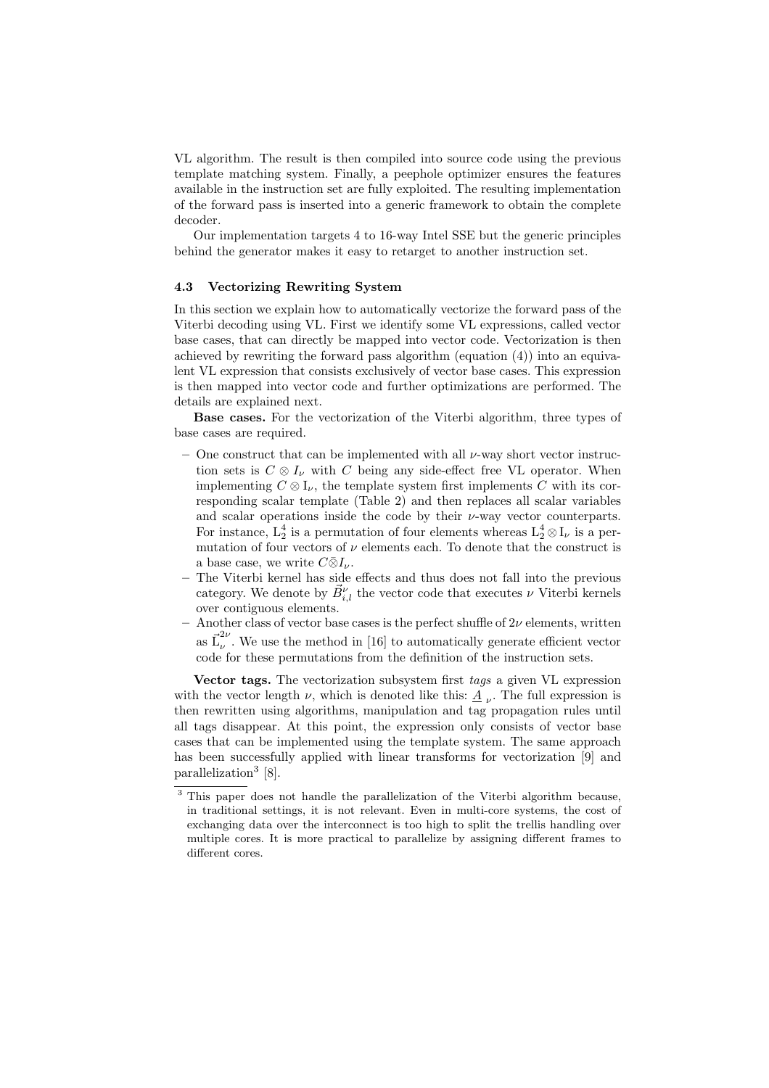VL algorithm. The result is then compiled into source code using the previous template matching system. Finally, a peephole optimizer ensures the features available in the instruction set are fully exploited. The resulting implementation of the forward pass is inserted into a generic framework to obtain the complete decoder.

Our implementation targets 4 to 16-way Intel SSE but the generic principles behind the generator makes it easy to retarget to another instruction set.

#### 4.3 Vectorizing Rewriting System

In this section we explain how to automatically vectorize the forward pass of the Viterbi decoding using VL. First we identify some VL expressions, called vector base cases, that can directly be mapped into vector code. Vectorization is then achieved by rewriting the forward pass algorithm (equation  $(4)$ ) into an equivalent VL expression that consists exclusively of vector base cases. This expression is then mapped into vector code and further optimizations are performed. The details are explained next.

Base cases. For the vectorization of the Viterbi algorithm, three types of base cases are required.

- One construct that can be implemented with all  $\nu$ -way short vector instruction sets is  $C \otimes I_{\nu}$  with C being any side-effect free VL operator. When implementing  $C \otimes I_{\nu}$ , the template system first implements C with its corresponding scalar template (Table 2) and then replaces all scalar variables and scalar operations inside the code by their  $\nu$ -way vector counterparts. For instance,  $L_2^4$  is a permutation of four elements whereas  $L_2^4 \otimes I_\nu$  is a permutation of four vectors of  $\nu$  elements each. To denote that the construct is a base case, we write  $C\bar{\otimes} I_{\nu}$ .
- The Viterbi kernel has side effects and thus does not fall into the previous category. We denote by  $\vec{B}^{\nu}_{i,l}$  the vector code that executes  $\nu$  Viterbi kernels over contiguous elements.
- Another class of vector base cases is the perfect shuffle of  $2\nu$  elements, written as  $\vec{L}_{\nu}^{2\nu}$  $\tilde{\nu}$ . We use the method in [16] to automatically generate efficient vector code for these permutations from the definition of the instruction sets.

Vector tags. The vectorization subsystem first tags a given VL expression with the vector length  $\nu$ , which is denoted like this:  $\underline{A}_{\nu}$ . The full expression is then rewritten using algorithms, manipulation and tag propagation rules until all tags disappear. At this point, the expression only consists of vector base cases that can be implemented using the template system. The same approach has been successfully applied with linear transforms for vectorization [9] and parallelization<sup>3</sup> [8].

<sup>&</sup>lt;sup>3</sup> This paper does not handle the parallelization of the Viterbi algorithm because, in traditional settings, it is not relevant. Even in multi-core systems, the cost of exchanging data over the interconnect is too high to split the trellis handling over multiple cores. It is more practical to parallelize by assigning different frames to different cores.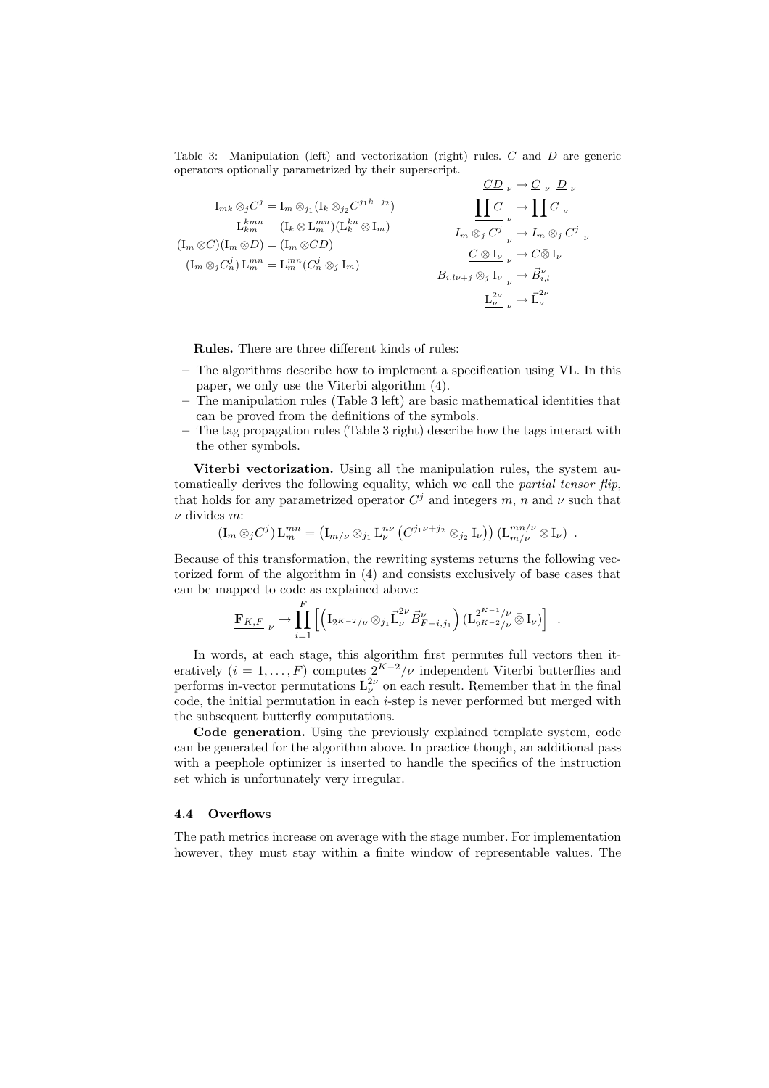Table 3: Manipulation (left) and vectorization (right) rules. C and D are generic operators optionally parametrized by their superscript.  $CD \rightarrow C$   $D$ 

$$
I_{mk} \otimes_j C^j = I_m \otimes_{j_1} (I_k \otimes_{j_2} C^{j_1 k + j_2})
$$
\n
$$
L_{km}^{kmn} = (I_k \otimes L_m^{mn})(L_k^{kn} \otimes I_m)
$$
\n
$$
(I_m \otimes C)(I_m \otimes D) = (I_m \otimes CD)
$$
\n
$$
(I_m \otimes_j C_n^j) L_m^{mn} = L_m^{mn}(C_n^j \otimes_j I_m)
$$
\n
$$
\underline{B}_{i,l\nu+j} \otimes_j I_{\nu} \rightarrow \overline{B}_{i,l}^{2\nu}
$$
\n
$$
\underline{L}_{\nu}^{2\nu} \downarrow \rightarrow \overline{L}_{\nu}^{2\nu}
$$
\n
$$
\underline{L}_{\nu}^{2\nu} \downarrow \rightarrow \overline{L}_{\nu}^{2\nu}
$$

Rules. There are three different kinds of rules:

- The algorithms describe how to implement a specification using VL. In this paper, we only use the Viterbi algorithm (4).
- The manipulation rules (Table 3 left) are basic mathematical identities that can be proved from the definitions of the symbols.
- The tag propagation rules (Table 3 right) describe how the tags interact with the other symbols.

Viterbi vectorization. Using all the manipulation rules, the system automatically derives the following equality, which we call the partial tensor flip, that holds for any parametrized operator  $C<sup>j</sup>$  and integers m, n and v such that  $\nu$  divides  $m$ :

$$
(\mathrm{I}_m \otimes_j C^j) \mathrm{L}_m^{mn} = (\mathrm{I}_{m/\nu} \otimes_{j_1} \mathrm{L}_\nu^{n\nu} (C^{j_1 \nu + j_2} \otimes_{j_2} \mathrm{I}_\nu)) (\mathrm{L}_{m/\nu}^{mn/\nu} \otimes \mathrm{I}_\nu) .
$$

Because of this transformation, the rewriting systems returns the following vectorized form of the algorithm in (4) and consists exclusively of base cases that can be mapped to code as explained above:

$$
\underline{\mathbf{F}_{K,F}}_{\nu} \to \prod_{i=1}^{F} \left[ \left( I_{2^{K-2}/\nu} \otimes_{j_1} \overrightarrow{\mathrm{L}}_{\nu}^{2\nu} \overrightarrow{B}_{F-i,j_1}^{\nu} \right) \left( L_{2^{K-2}/\nu}^{2^{K-1}/\nu} \,\overline{\otimes}\, \mathrm{I}_{\nu} \right) \right] .
$$

In words, at each stage, this algorithm first permutes full vectors then iteratively  $(i = 1, ..., F)$  computes  $2^{K-2}/\nu$  independent Viterbi butterflies and performs in-vector permutations  $L^2_{\nu}$  on each result. Remember that in the final code, the initial permutation in each  $i$ -step is never performed but merged with the subsequent butterfly computations.

Code generation. Using the previously explained template system, code can be generated for the algorithm above. In practice though, an additional pass with a peephole optimizer is inserted to handle the specifics of the instruction set which is unfortunately very irregular.

#### 4.4 Overflows

The path metrics increase on average with the stage number. For implementation however, they must stay within a finite window of representable values. The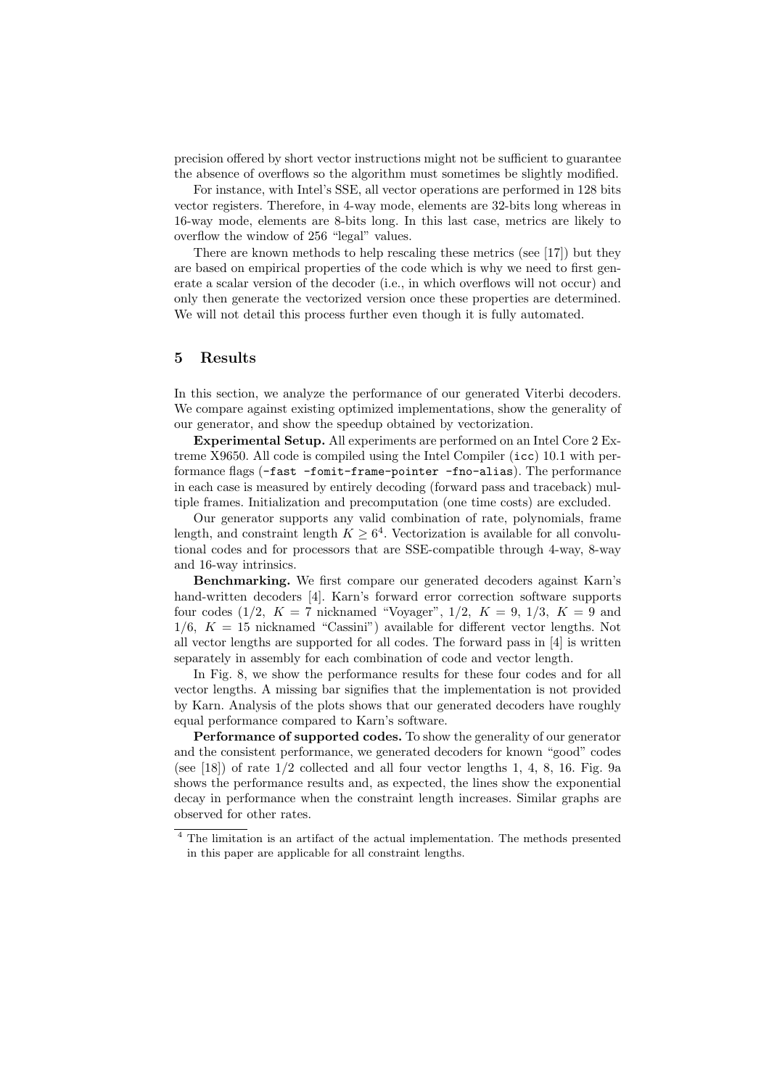precision offered by short vector instructions might not be sufficient to guarantee the absence of overflows so the algorithm must sometimes be slightly modified.

For instance, with Intel's SSE, all vector operations are performed in 128 bits vector registers. Therefore, in 4-way mode, elements are 32-bits long whereas in 16-way mode, elements are 8-bits long. In this last case, metrics are likely to overflow the window of 256 "legal" values.

There are known methods to help rescaling these metrics (see [17]) but they are based on empirical properties of the code which is why we need to first generate a scalar version of the decoder (i.e., in which overflows will not occur) and only then generate the vectorized version once these properties are determined. We will not detail this process further even though it is fully automated.

### 5 Results

In this section, we analyze the performance of our generated Viterbi decoders. We compare against existing optimized implementations, show the generality of our generator, and show the speedup obtained by vectorization.

Experimental Setup. All experiments are performed on an Intel Core 2 Extreme X9650. All code is compiled using the Intel Compiler (icc) 10.1 with performance flags (-fast -fomit-frame-pointer -fno-alias). The performance in each case is measured by entirely decoding (forward pass and traceback) multiple frames. Initialization and precomputation (one time costs) are excluded.

Our generator supports any valid combination of rate, polynomials, frame length, and constraint length  $K \geq 6^4$ . Vectorization is available for all convolutional codes and for processors that are SSE-compatible through 4-way, 8-way and 16-way intrinsics.

Benchmarking. We first compare our generated decoders against Karn's hand-written decoders [4]. Karn's forward error correction software supports four codes  $(1/2, K = 7 \text{ nicknamed "Voyager", } 1/2, K = 9, 1/3, K = 9 \text{ and }$  $1/6$ ,  $K = 15$  nicknamed "Cassini") available for different vector lengths. Not all vector lengths are supported for all codes. The forward pass in [4] is written separately in assembly for each combination of code and vector length.

In Fig. 8, we show the performance results for these four codes and for all vector lengths. A missing bar signifies that the implementation is not provided by Karn. Analysis of the plots shows that our generated decoders have roughly equal performance compared to Karn's software.

Performance of supported codes. To show the generality of our generator and the consistent performance, we generated decoders for known "good" codes (see [18]) of rate 1/2 collected and all four vector lengths 1, 4, 8, 16. Fig. 9a shows the performance results and, as expected, the lines show the exponential decay in performance when the constraint length increases. Similar graphs are observed for other rates.

<sup>4</sup> The limitation is an artifact of the actual implementation. The methods presented in this paper are applicable for all constraint lengths.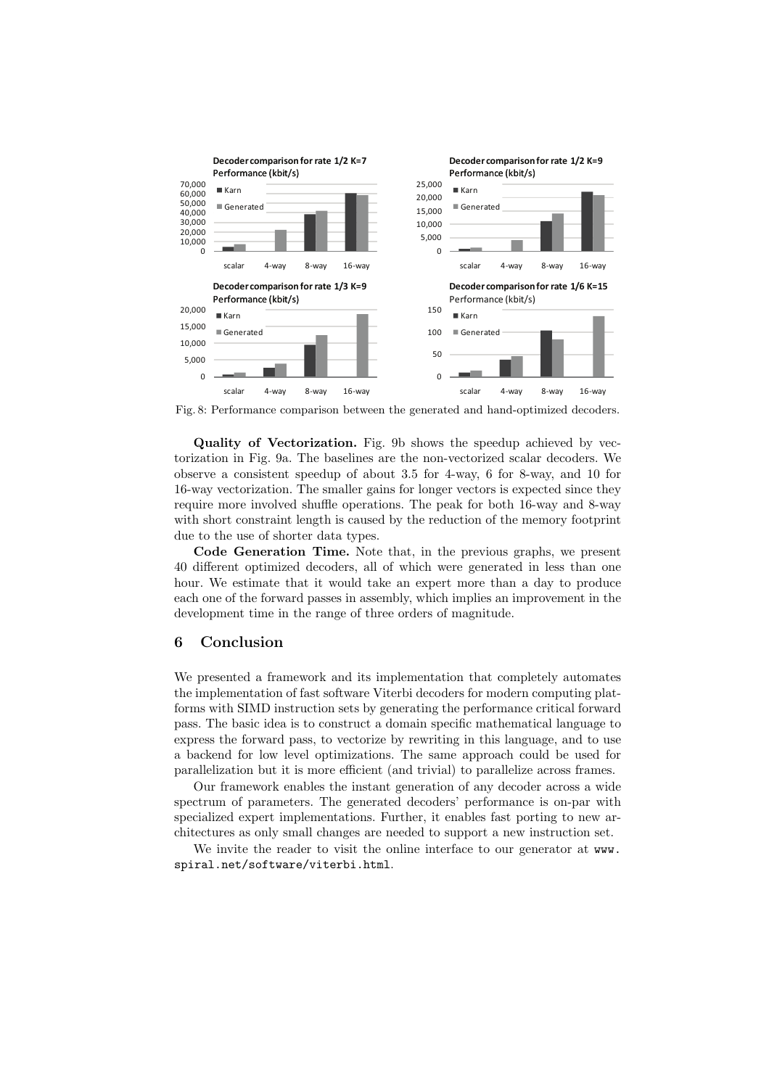

Fig. 8: Performance comparison between the generated and hand-optimized decoders.

Quality of Vectorization. Fig. 9b shows the speedup achieved by vectorization in Fig. 9a. The baselines are the non-vectorized scalar decoders. We observe a consistent speedup of about 3.5 for 4-way, 6 for 8-way, and 10 for 16-way vectorization. The smaller gains for longer vectors is expected since they require more involved shuffle operations. The peak for both 16-way and 8-way with short constraint length is caused by the reduction of the memory footprint due to the use of shorter data types.

Code Generation Time. Note that, in the previous graphs, we present 40 different optimized decoders, all of which were generated in less than one hour. We estimate that it would take an expert more than a day to produce each one of the forward passes in assembly, which implies an improvement in the development time in the range of three orders of magnitude.

# 6 Conclusion

We presented a framework and its implementation that completely automates the implementation of fast software Viterbi decoders for modern computing platforms with SIMD instruction sets by generating the performance critical forward pass. The basic idea is to construct a domain specific mathematical language to express the forward pass, to vectorize by rewriting in this language, and to use a backend for low level optimizations. The same approach could be used for parallelization but it is more efficient (and trivial) to parallelize across frames.

Our framework enables the instant generation of any decoder across a wide spectrum of parameters. The generated decoders' performance is on-par with specialized expert implementations. Further, it enables fast porting to new architectures as only small changes are needed to support a new instruction set.

We invite the reader to visit the online interface to our generator at www. spiral.net/software/viterbi.html.